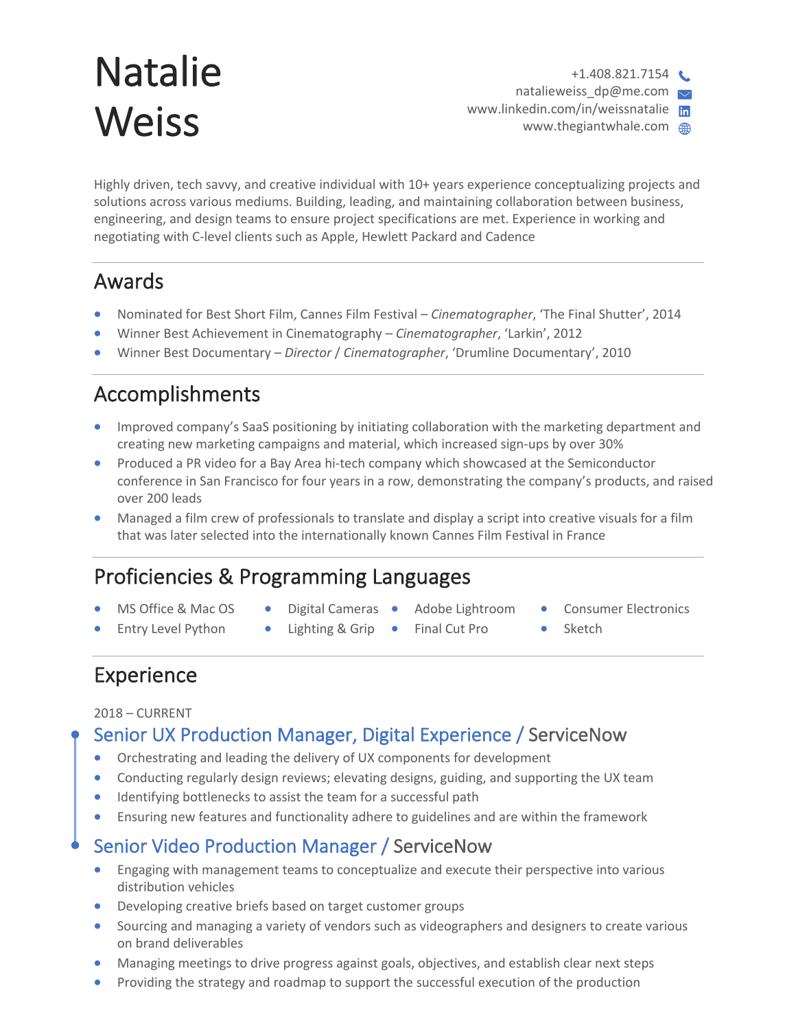# Natalie **Weiss**

 $+1.408.821.7154$ natalieweiss\_dp@me.com  $\sim$ www.linkedin.com/in/weissnatalie www.thegiantwhale.com

Highly driven, tech savvy, and creative individual with 10+ years experience conceptualizing projects and solutions across various mediums. Building, leading, and maintaining collaboration between business, engineering, and design teams to ensure project specifications are met. Experience in working and negotiating with C-level clients such as Apple, Hewlett Packard and Cadence

# Awards

- Nominated for Best Short Film, Cannes Film Festival *Cinematographer*, 'The Final Shutter', 2014
- Winner Best Achievement in Cinematography *Cinematographer*, 'Larkin', 2012
- Winner Best Documentary *Director* / *Cinematographer*, 'Drumline Documentary', 2010

# Accomplishments

- Improved company's SaaS positioning by initiating collaboration with the marketing department and creating new marketing campaigns and material, which increased sign-ups by over 30%
- Produced a PR video for a Bay Area hi-tech company which showcased at the Semiconductor conference in San Francisco for four years in a row, demonstrating the company's products, and raised over 200 leads
- Managed a film crew of professionals to translate and display a script into creative visuals for a film that was later selected into the internationally known Cannes Film Festival in France

# Proficiencies & Programming Languages

- MS Office & Mac OS
- Digital Cameras Adobe Lightroom
	-
- Consumer Electronics
- Entry Level Python
- Lighting & Grip •
- Final Cut Pro
- **Sketch**

# Experience

#### 2018 – CURRENT

### Senior UX Production Manager, Digital Experience / ServiceNow

- Orchestrating and leading the delivery of UX components for development
- Conducting regularly design reviews; elevating designs, guiding, and supporting the UX team
- Identifying bottlenecks to assist the team for a successful path
- Ensuring new features and functionality adhere to guidelines and are within the framework

### Senior Video Production Manager / ServiceNow

- Engaging with management teams to conceptualize and execute their perspective into various distribution vehicles
- Developing creative briefs based on target customer groups
- Sourcing and managing a variety of vendors such as videographers and designers to create various on brand deliverables
- Managing meetings to drive progress against goals, objectives, and establish clear next steps
- Providing the strategy and roadmap to support the successful execution of the production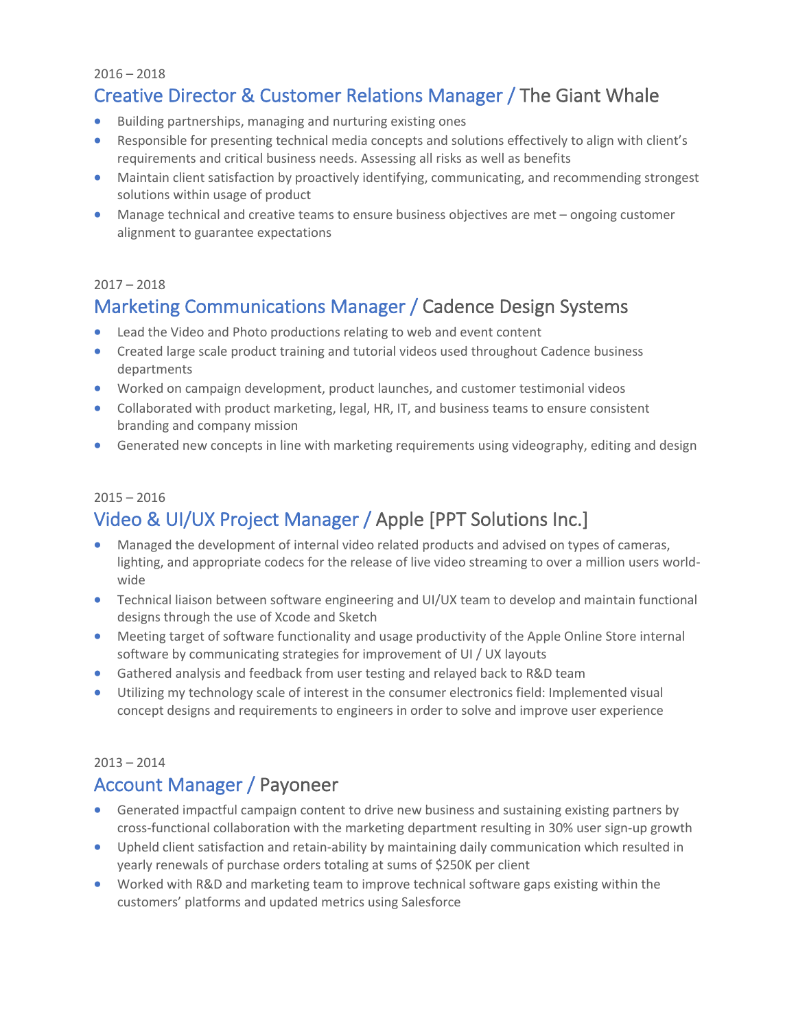2016 – 2018

### Creative Director & Customer Relations Manager / The Giant Whale

- Building partnerships, managing and nurturing existing ones
- Responsible for presenting technical media concepts and solutions effectively to align with client's requirements and critical business needs. Assessing all risks as well as benefits
- Maintain client satisfaction by proactively identifying, communicating, and recommending strongest solutions within usage of product
- Manage technical and creative teams to ensure business objectives are met ongoing customer alignment to guarantee expectations

#### $2017 - 2018$

# Marketing Communications Manager / Cadence Design Systems

- Lead the Video and Photo productions relating to web and event content
- Created large scale product training and tutorial videos used throughout Cadence business departments
- Worked on campaign development, product launches, and customer testimonial videos
- Collaborated with product marketing, legal, HR, IT, and business teams to ensure consistent branding and company mission
- Generated new concepts in line with marketing requirements using videography, editing and design

### $2015 - 2016$ Video & UI/UX Project Manager / Apple [PPT Solutions Inc.]

- Managed the development of internal video related products and advised on types of cameras, lighting, and appropriate codecs for the release of live video streaming to over a million users worldwide
- Technical liaison between software engineering and UI/UX team to develop and maintain functional designs through the use of Xcode and Sketch
- Meeting target of software functionality and usage productivity of the Apple Online Store internal software by communicating strategies for improvement of UI / UX layouts
- Gathered analysis and feedback from user testing and relayed back to R&D team
- Utilizing my technology scale of interest in the consumer electronics field: Implemented visual concept designs and requirements to engineers in order to solve and improve user experience

#### 2013 – 2014

### Account Manager / Payoneer

- Generated impactful campaign content to drive new business and sustaining existing partners by cross-functional collaboration with the marketing department resulting in 30% user sign-up growth
- Upheld client satisfaction and retain-ability by maintaining daily communication which resulted in yearly renewals of purchase orders totaling at sums of \$250K per client
- Worked with R&D and marketing team to improve technical software gaps existing within the customers' platforms and updated metrics using Salesforce